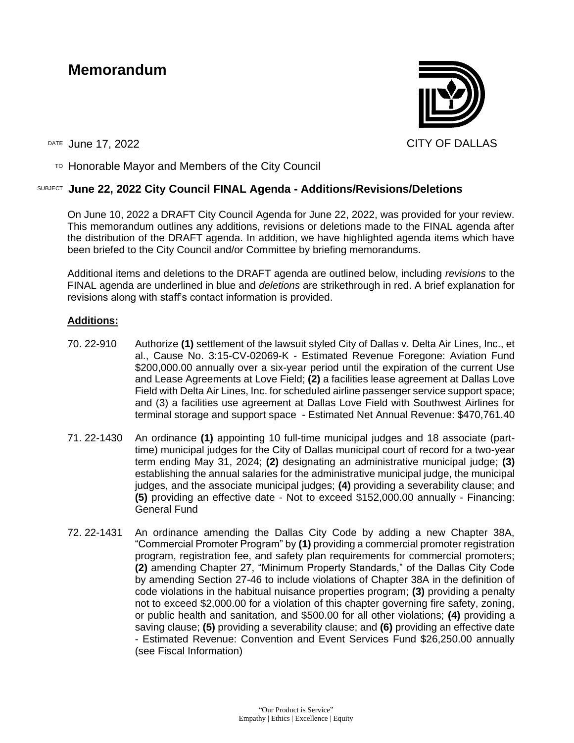# **Memorandum**



TO Honorable Mayor and Members of the City Council

# SUBJECT **June 22, 2022 City Council FINAL Agenda - Additions/Revisions/Deletions**

On June 10, 2022 a DRAFT City Council Agenda for June 22, 2022, was provided for your review. This memorandum outlines any additions, revisions or deletions made to the FINAL agenda after the distribution of the DRAFT agenda. In addition, we have highlighted agenda items which have been briefed to the City Council and/or Committee by briefing memorandums.

Additional items and deletions to the DRAFT agenda are outlined below, including *revisions* to the FINAL agenda are underlined in blue and *deletions* are strikethrough in red. A brief explanation for revisions along with staff's contact information is provided.

## **Additions:**

- 70. 22-910 Authorize **(1)** settlement of the lawsuit styled City of Dallas v. Delta Air Lines, Inc., et al., Cause No. 3:15-CV-02069-K - Estimated Revenue Foregone: Aviation Fund \$200,000.00 annually over a six-year period until the expiration of the current Use and Lease Agreements at Love Field; **(2)** a facilities lease agreement at Dallas Love Field with Delta Air Lines, Inc. for scheduled airline passenger service support space; and (3) a facilities use agreement at Dallas Love Field with Southwest Airlines for terminal storage and support space - Estimated Net Annual Revenue: \$470,761.40
- 71. 22-1430 An ordinance **(1)** appointing 10 full-time municipal judges and 18 associate (parttime) municipal judges for the City of Dallas municipal court of record for a two-year term ending May 31, 2024; **(2)** designating an administrative municipal judge; **(3)** establishing the annual salaries for the administrative municipal judge, the municipal judges, and the associate municipal judges; **(4)** providing a severability clause; and **(5)** providing an effective date - Not to exceed \$152,000.00 annually - Financing: General Fund
- 72. 22-1431 An ordinance amending the Dallas City Code by adding a new Chapter 38A, "Commercial Promoter Program" by **(1)** providing a commercial promoter registration program, registration fee, and safety plan requirements for commercial promoters; **(2)** amending Chapter 27, "Minimum Property Standards," of the Dallas City Code by amending Section 27-46 to include violations of Chapter 38A in the definition of code violations in the habitual nuisance properties program; **(3)** providing a penalty not to exceed \$2,000.00 for a violation of this chapter governing fire safety, zoning, or public health and sanitation, and \$500.00 for all other violations; **(4)** providing a saving clause; **(5)** providing a severability clause; and **(6)** providing an effective date - Estimated Revenue: Convention and Event Services Fund \$26,250.00 annually (see Fiscal Information)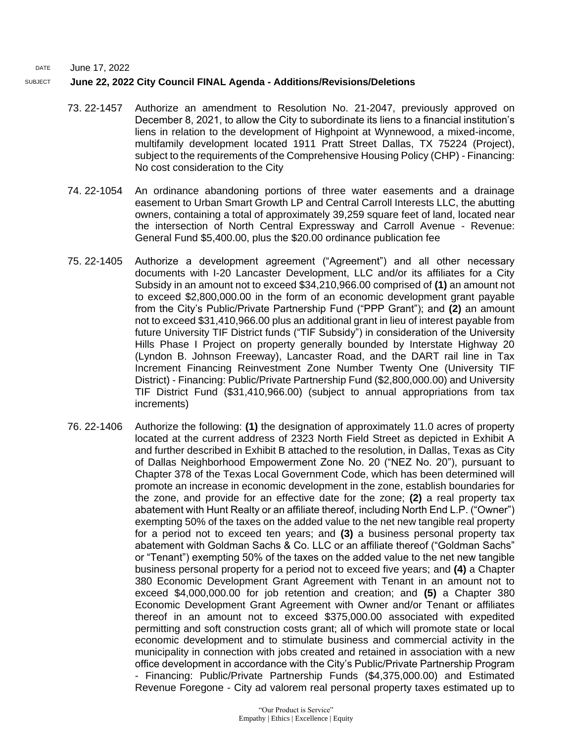#### SUBJECT **June 22, 2022 City Council FINAL Agenda - Additions/Revisions/Deletions**

- 73. 22-1457 Authorize an amendment to Resolution No. 21-2047, previously approved on December 8, 2021, to allow the City to subordinate its liens to a financial institution's liens in relation to the development of Highpoint at Wynnewood, a mixed-income, multifamily development located 1911 Pratt Street Dallas, TX 75224 (Project), subject to the requirements of the Comprehensive Housing Policy (CHP) - Financing: No cost consideration to the City
- 74. 22-1054 An ordinance abandoning portions of three water easements and a drainage easement to Urban Smart Growth LP and Central Carroll Interests LLC, the abutting owners, containing a total of approximately 39,259 square feet of land, located near the intersection of North Central Expressway and Carroll Avenue - Revenue: General Fund \$5,400.00, plus the \$20.00 ordinance publication fee
- 75. 22-1405 Authorize a development agreement ("Agreement") and all other necessary documents with I-20 Lancaster Development, LLC and/or its affiliates for a City Subsidy in an amount not to exceed \$34,210,966.00 comprised of **(1)** an amount not to exceed \$2,800,000.00 in the form of an economic development grant payable from the City's Public/Private Partnership Fund ("PPP Grant"); and **(2)** an amount not to exceed \$31,410,966.00 plus an additional grant in lieu of interest payable from future University TIF District funds ("TIF Subsidy") in consideration of the University Hills Phase I Project on property generally bounded by Interstate Highway 20 (Lyndon B. Johnson Freeway), Lancaster Road, and the DART rail line in Tax Increment Financing Reinvestment Zone Number Twenty One (University TIF District) - Financing: Public/Private Partnership Fund (\$2,800,000.00) and University TIF District Fund (\$31,410,966.00) (subject to annual appropriations from tax increments)
- 76. 22-1406 Authorize the following: **(1)** the designation of approximately 11.0 acres of property located at the current address of 2323 North Field Street as depicted in Exhibit A and further described in Exhibit B attached to the resolution, in Dallas, Texas as City of Dallas Neighborhood Empowerment Zone No. 20 ("NEZ No. 20"), pursuant to Chapter 378 of the Texas Local Government Code, which has been determined will promote an increase in economic development in the zone, establish boundaries for the zone, and provide for an effective date for the zone; **(2)** a real property tax abatement with Hunt Realty or an affiliate thereof, including North End L.P. ("Owner") exempting 50% of the taxes on the added value to the net new tangible real property for a period not to exceed ten years; and **(3)** a business personal property tax abatement with Goldman Sachs & Co. LLC or an affiliate thereof ("Goldman Sachs" or "Tenant") exempting 50% of the taxes on the added value to the net new tangible business personal property for a period not to exceed five years; and **(4)** a Chapter 380 Economic Development Grant Agreement with Tenant in an amount not to exceed \$4,000,000.00 for job retention and creation; and **(5)** a Chapter 380 Economic Development Grant Agreement with Owner and/or Tenant or affiliates thereof in an amount not to exceed \$375,000.00 associated with expedited permitting and soft construction costs grant; all of which will promote state or local economic development and to stimulate business and commercial activity in the municipality in connection with jobs created and retained in association with a new office development in accordance with the City's Public/Private Partnership Program - Financing: Public/Private Partnership Funds (\$4,375,000.00) and Estimated Revenue Foregone - City ad valorem real personal property taxes estimated up to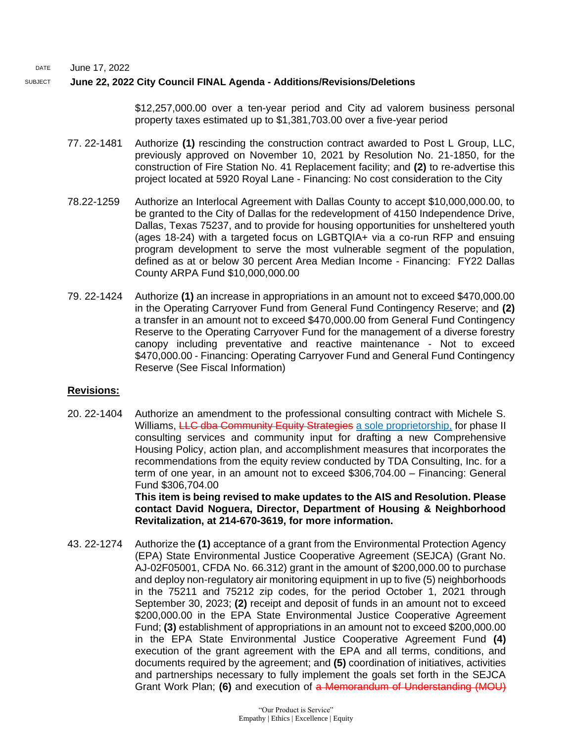#### SUBJECT **June 22, 2022 City Council FINAL Agenda - Additions/Revisions/Deletions**

\$12,257,000.00 over a ten-year period and City ad valorem business personal property taxes estimated up to \$1,381,703.00 over a five-year period

- 77. 22-1481 Authorize **(1)** rescinding the construction contract awarded to Post L Group, LLC, previously approved on November 10, 2021 by Resolution No. 21-1850, for the construction of Fire Station No. 41 Replacement facility; and **(2)** to re-advertise this project located at 5920 Royal Lane - Financing: No cost consideration to the City
- 78.22-1259 Authorize an Interlocal Agreement with Dallas County to accept \$10,000,000.00, to be granted to the City of Dallas for the redevelopment of 4150 Independence Drive, Dallas, Texas 75237, and to provide for housing opportunities for unsheltered youth (ages 18-24) with a targeted focus on LGBTQIA+ via a co-run RFP and ensuing program development to serve the most vulnerable segment of the population, defined as at or below 30 percent Area Median Income - Financing: FY22 Dallas County ARPA Fund \$10,000,000.00
- 79. 22-1424 Authorize **(1)** an increase in appropriations in an amount not to exceed \$470,000.00 in the Operating Carryover Fund from General Fund Contingency Reserve; and **(2)** a transfer in an amount not to exceed \$470,000.00 from General Fund Contingency Reserve to the Operating Carryover Fund for the management of a diverse forestry canopy including preventative and reactive maintenance - Not to exceed \$470,000.00 - Financing: Operating Carryover Fund and General Fund Contingency Reserve (See Fiscal Information)

#### **Revisions:**

20. 22-1404 Authorize an amendment to the professional consulting contract with Michele S. Williams, LLC dba Community Equity Strategies a sole proprietorship, for phase II consulting services and community input for drafting a new Comprehensive Housing Policy, action plan, and accomplishment measures that incorporates the recommendations from the equity review conducted by TDA Consulting, Inc. for a term of one year, in an amount not to exceed \$306,704.00 – Financing: General Fund \$306,704.00

**This item is being revised to make updates to the AIS and Resolution. Please contact David Noguera, Director, Department of Housing & Neighborhood Revitalization, at 214-670-3619, for more information.** 

43. 22-1274 Authorize the **(1)** acceptance of a grant from the Environmental Protection Agency (EPA) State Environmental Justice Cooperative Agreement (SEJCA) (Grant No. AJ-02F05001, CFDA No. 66.312) grant in the amount of \$200,000.00 to purchase and deploy non-regulatory air monitoring equipment in up to five (5) neighborhoods in the 75211 and 75212 zip codes, for the period October 1, 2021 through September 30, 2023; **(2)** receipt and deposit of funds in an amount not to exceed \$200,000.00 in the EPA State Environmental Justice Cooperative Agreement Fund; **(3)** establishment of appropriations in an amount not to exceed \$200,000.00 in the EPA State Environmental Justice Cooperative Agreement Fund **(4)** execution of the grant agreement with the EPA and all terms, conditions, and documents required by the agreement; and **(5)** coordination of initiatives, activities and partnerships necessary to fully implement the goals set forth in the SEJCA Grant Work Plan; **(6)** and execution of a Memorandum of Understanding (MOU)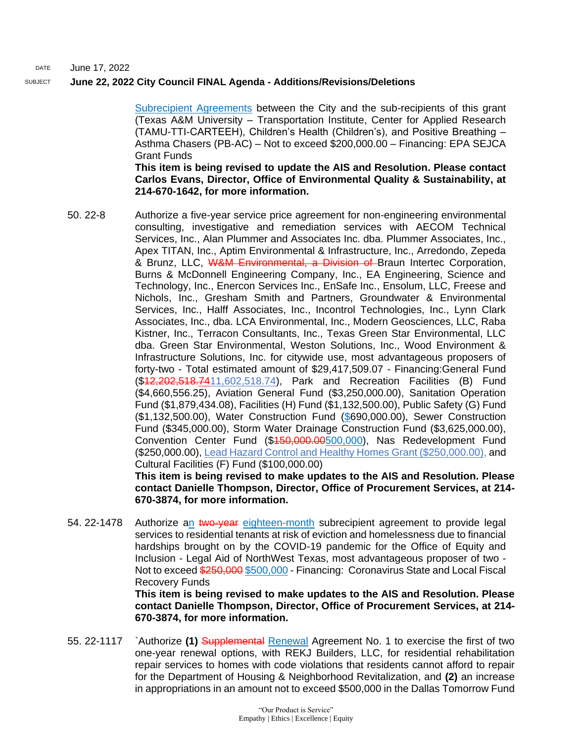## SUBJECT **June 22, 2022 City Council FINAL Agenda - Additions/Revisions/Deletions**

Subrecipient Agreements between the City and the sub-recipients of this grant (Texas A&M University – Transportation Institute, Center for Applied Research (TAMU-TTI-CARTEEH), Children's Health (Children's), and Positive Breathing – Asthma Chasers (PB-AC) – Not to exceed \$200,000.00 – Financing: EPA SEJCA Grant Funds

**This item is being revised to update the AIS and Resolution. Please contact Carlos Evans, Director, Office of Environmental Quality & Sustainability, at 214-670-1642, for more information.** 

- 50. 22-8 Authorize a five-year service price agreement for non-engineering environmental consulting, investigative and remediation services with AECOM Technical Services, Inc., Alan Plummer and Associates Inc. dba. Plummer Associates, Inc., Apex TITAN, Inc., Aptim Environmental & Infrastructure, Inc., Arredondo, Zepeda & Brunz, LLC, W&M Environmental, a Division of Braun Intertec Corporation, Burns & McDonnell Engineering Company, Inc., EA Engineering, Science and Technology, Inc., Enercon Services Inc., EnSafe Inc., Ensolum, LLC, Freese and Nichols, Inc., Gresham Smith and Partners, Groundwater & Environmental Services, Inc., Halff Associates, Inc., Incontrol Technologies, Inc., Lynn Clark Associates, Inc., dba. LCA Environmental, Inc., Modern Geosciences, LLC, Raba Kistner, Inc., Terracon Consultants, Inc., Texas Green Star Environmental, LLC dba. Green Star Environmental, Weston Solutions, Inc., Wood Environment & Infrastructure Solutions, Inc. for citywide use, most advantageous proposers of forty-two - Total estimated amount of \$29,417,509.07 - Financing:General Fund (\$12,202,518.7411,602,518.74), Park and Recreation Facilities (B) Fund (\$4,660,556.25), Aviation General Fund (\$3,250,000.00), Sanitation Operation Fund (\$1,879,434.08), Facilities (H) Fund (\$1,132,500.00), Public Safety (G) Fund (\$1,132,500.00), Water Construction Fund (\$690,000.00), Sewer Construction Fund (\$345,000.00), Storm Water Drainage Construction Fund (\$3,625,000.00), Convention Center Fund (\$450,000.005.000), Nas Redevelopment Fund (\$250,000.00), Lead Hazard Control and Healthy Homes Grant (\$250,000.00), and Cultural Facilities (F) Fund (\$100,000.00) **This item is being revised to make updates to the AIS and Resolution. Please contact Danielle Thompson, Director, Office of Procurement Services, at 214- 670-3874, for more information.**
- 54. 22-1478 Authorize an two-year eighteen-month subrecipient agreement to provide legal services to residential tenants at risk of eviction and homelessness due to financial hardships brought on by the COVID-19 pandemic for the Office of Equity and Inclusion - Legal Aid of NorthWest Texas, most advantageous proposer of two - Not to exceed \$250,000 \$500,000 - Financing: Coronavirus State and Local Fiscal Recovery Funds

**This item is being revised to make updates to the AIS and Resolution. Please contact Danielle Thompson, Director, Office of Procurement Services, at 214- 670-3874, for more information.**

55. 22-1117 `Authorize **(1)** Supplemental Renewal Agreement No. 1 to exercise the first of two one-year renewal options, with REKJ Builders, LLC, for residential rehabilitation repair services to homes with code violations that residents cannot afford to repair for the Department of Housing & Neighborhood Revitalization, and **(2)** an increase in appropriations in an amount not to exceed \$500,000 in the Dallas Tomorrow Fund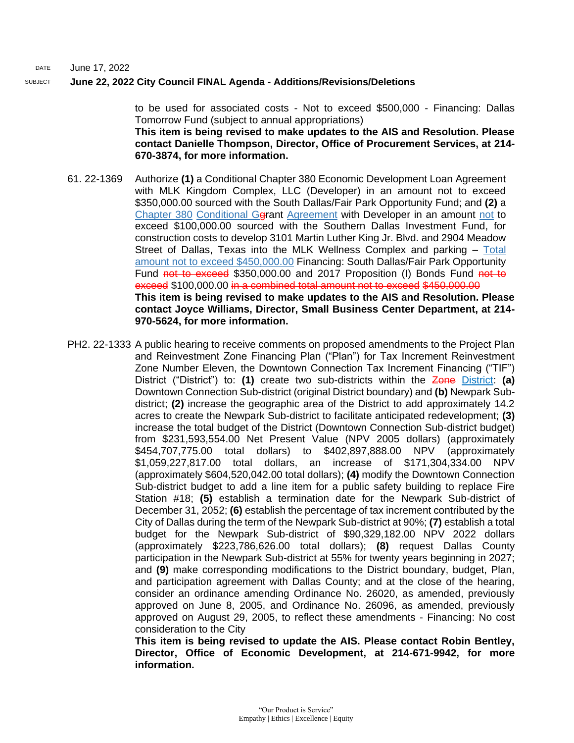#### SUBJECT **June 22, 2022 City Council FINAL Agenda - Additions/Revisions/Deletions**

to be used for associated costs - Not to exceed \$500,000 - Financing: Dallas Tomorrow Fund (subject to annual appropriations) **This item is being revised to make updates to the AIS and Resolution. Please contact Danielle Thompson, Director, Office of Procurement Services, at 214- 670-3874, for more information.**

- 61. 22-1369 Authorize **(1)** a Conditional Chapter 380 Economic Development Loan Agreement with MLK Kingdom Complex, LLC (Developer) in an amount not to exceed \$350,000.00 sourced with the South Dallas/Fair Park Opportunity Fund; and **(2)** a Chapter 380 Conditional Ggrant Agreement with Developer in an amount not to exceed \$100,000.00 sourced with the Southern Dallas Investment Fund, for construction costs to develop 3101 Martin Luther King Jr. Blvd. and 2904 Meadow Street of Dallas, Texas into the MLK Wellness Complex and parking – Total amount not to exceed \$450,000.00 Financing: South Dallas/Fair Park Opportunity Fund not to exceed \$350,000.00 and 2017 Proposition (I) Bonds Fund not to exceed \$100,000.00 in a combined total amount not to exceed \$450,000.00 **This item is being revised to make updates to the AIS and Resolution. Please contact Joyce Williams, Director, Small Business Center Department, at 214- 970-5624, for more information.**
- PH2. 22-1333 A public hearing to receive comments on proposed amendments to the Project Plan and Reinvestment Zone Financing Plan ("Plan") for Tax Increment Reinvestment Zone Number Eleven, the Downtown Connection Tax Increment Financing ("TIF") District ("District") to: **(1)** create two sub-districts within the Zone District: **(a)** Downtown Connection Sub-district (original District boundary) and **(b)** Newpark Subdistrict; **(2)** increase the geographic area of the District to add approximately 14.2 acres to create the Newpark Sub-district to facilitate anticipated redevelopment; **(3)** increase the total budget of the District (Downtown Connection Sub-district budget) from \$231,593,554.00 Net Present Value (NPV 2005 dollars) (approximately \$454,707,775.00 total dollars) to \$402,897,888.00 NPV (approximately \$1,059,227,817.00 total dollars, an increase of \$171,304,334.00 NPV (approximately \$604,520,042.00 total dollars); **(4)** modify the Downtown Connection Sub-district budget to add a line item for a public safety building to replace Fire Station #18; **(5)** establish a termination date for the Newpark Sub-district of December 31, 2052; **(6)** establish the percentage of tax increment contributed by the City of Dallas during the term of the Newpark Sub-district at 90%; **(7)** establish a total budget for the Newpark Sub-district of \$90,329,182.00 NPV 2022 dollars (approximately \$223,786,626.00 total dollars); **(8)** request Dallas County participation in the Newpark Sub-district at 55% for twenty years beginning in 2027; and **(9)** make corresponding modifications to the District boundary, budget, Plan, and participation agreement with Dallas County; and at the close of the hearing, consider an ordinance amending Ordinance No. 26020, as amended, previously approved on June 8, 2005, and Ordinance No. 26096, as amended, previously approved on August 29, 2005, to reflect these amendments - Financing: No cost consideration to the City

**This item is being revised to update the AIS. Please contact Robin Bentley, Director, Office of Economic Development, at 214-671-9942, for more information.**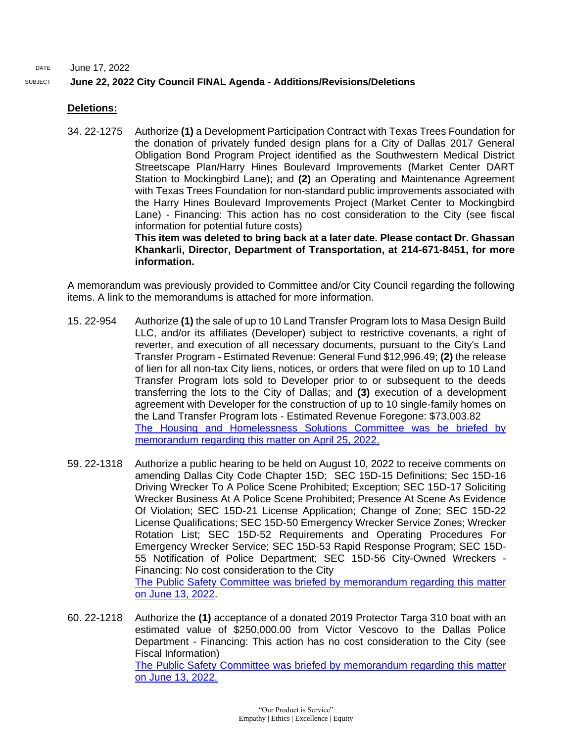# SUBJECT **June 22, 2022 City Council FINAL Agenda - Additions/Revisions/Deletions**

## **Deletions:**

34. 22-1275 Authorize **(1)** a Development Participation Contract with Texas Trees Foundation for the donation of privately funded design plans for a City of Dallas 2017 General Obligation Bond Program Project identified as the Southwestern Medical District Streetscape Plan/Harry Hines Boulevard Improvements (Market Center DART Station to Mockingbird Lane); and **(2)** an Operating and Maintenance Agreement with Texas Trees Foundation for non-standard public improvements associated with the Harry Hines Boulevard Improvements Project (Market Center to Mockingbird Lane) - Financing: This action has no cost consideration to the City (see fiscal information for potential future costs)

**This item was deleted to bring back at a later date. Please contact Dr. Ghassan Khankarli, Director, Department of Transportation, at 214-671-8451, for more information.**

A memorandum was previously provided to Committee and/or City Council regarding the following items. A link to the memorandums is attached for more information.

- 15. 22-954 Authorize **(1)** the sale of up to 10 Land Transfer Program lots to Masa Design Build LLC, and/or its affiliates (Developer) subject to restrictive covenants, a right of reverter, and execution of all necessary documents, pursuant to the City's Land Transfer Program - Estimated Revenue: General Fund \$12,996.49; **(2)** the release of lien for all non-tax City liens, notices, or orders that were filed on up to 10 Land Transfer Program lots sold to Developer prior to or subsequent to the deeds transferring the lots to the City of Dallas; and **(3)** execution of a development agreement with Developer for the construction of up to 10 single-family homes on the Land Transfer Program lots - Estimated Revenue Foregone: \$73,003.82 [The Housing and Homelessness Solutions Committee was be briefed by](https://cityofdallas.legistar.com/View.ashx?M=F&ID=10833923&GUID=D3943D9B-6C90-4D8D-A4F8-428CEFB2E982)  [memorandum regarding this matter on April 25, 2022.](https://cityofdallas.legistar.com/View.ashx?M=F&ID=10833923&GUID=D3943D9B-6C90-4D8D-A4F8-428CEFB2E982)
- 59. 22-1318 Authorize a public hearing to be held on August 10, 2022 to receive comments on amending Dallas City Code Chapter 15D; SEC 15D-15 Definitions; Sec 15D-16 Driving Wrecker To A Police Scene Prohibited; Exception; SEC 15D-17 Soliciting Wrecker Business At A Police Scene Prohibited; Presence At Scene As Evidence Of Violation; SEC 15D-21 License Application; Change of Zone; SEC 15D-22 License Qualifications; SEC 15D-50 Emergency Wrecker Service Zones; Wrecker Rotation List; SEC 15D-52 Requirements and Operating Procedures For Emergency Wrecker Service; SEC 15D-53 Rapid Response Program; SEC 15D-55 Notification of Police Department; SEC 15D-56 City-Owned Wreckers - Financing: No cost consideration to the City [The Public Safety Committee was](http://cityofdallas.legistar.com/gateway.aspx?M=F&ID=1b8d039a-4834-4e54-82d5-56840f48ee84.pdf) briefed by memorandum regarding this matter [on June 13, 2022.](http://cityofdallas.legistar.com/gateway.aspx?M=F&ID=1b8d039a-4834-4e54-82d5-56840f48ee84.pdf)
- 60. 22-1218 Authorize the **(1)** acceptance of a donated 2019 Protector Targa 310 boat with an estimated value of \$250,000.00 from Victor Vescovo to the Dallas Police Department - Financing: This action has no cost consideration to the City (see Fiscal Information) [The Public Safety Committee was](http://cityofdallas.legistar.com/gateway.aspx?M=F&ID=720aac27-5d7e-447d-b43d-31297666bfda.pdf) briefed by memorandum regarding this matter [on June 13, 2022.](http://cityofdallas.legistar.com/gateway.aspx?M=F&ID=720aac27-5d7e-447d-b43d-31297666bfda.pdf)